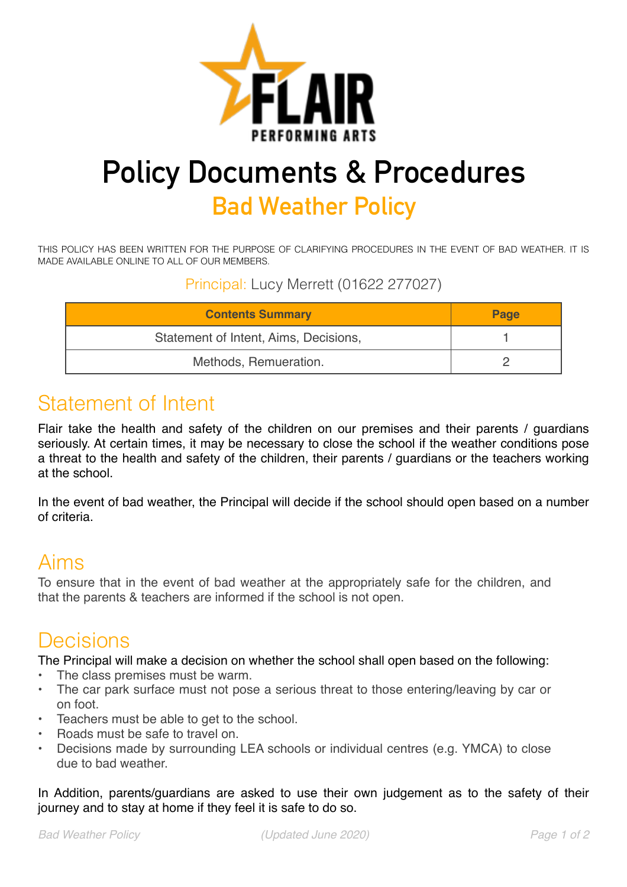

# **Policy Documents & Procedures Bad Weather Policy**

THIS POLICY HAS BEEN WRITTEN FOR THE PURPOSE OF CLARIFYING PROCEDURES IN THE EVENT OF BAD WEATHER. IT IS MADE AVAILABLE ONLINE TO ALL OF OUR MEMBERS.

Principal: Lucy Merrett (01622 277027)

| <b>Contents Summary</b>               | Page |
|---------------------------------------|------|
| Statement of Intent, Aims, Decisions, |      |
| Methods, Remueration.                 |      |

## Statement of Intent

Flair take the health and safety of the children on our premises and their parents / guardians seriously. At certain times, it may be necessary to close the school if the weather conditions pose a threat to the health and safety of the children, their parents / guardians or the teachers working at the school.

In the event of bad weather, the Principal will decide if the school should open based on a number of criteria.

### Aims

To ensure that in the event of bad weather at the appropriately safe for the children, and that the parents & teachers are informed if the school is not open.

### Decisions

The Principal will make a decision on whether the school shall open based on the following:

- The class premises must be warm.
- The car park surface must not pose a serious threat to those entering/leaving by car or on foot.
- Teachers must be able to get to the school.
- Roads must be safe to travel on.
- Decisions made by surrounding LEA schools or individual centres (e.g. YMCA) to close due to bad weather.

In Addition, parents/guardians are asked to use their own judgement as to the safety of their journey and to stay at home if they feel it is safe to do so.